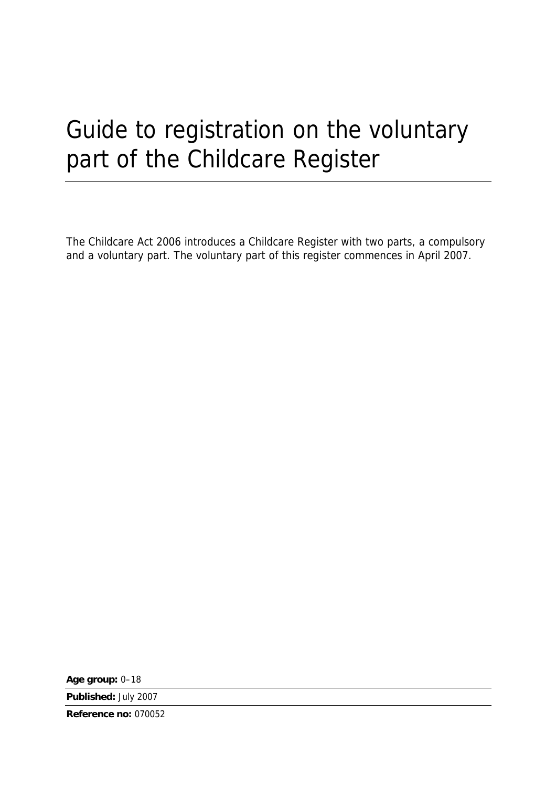# Guide to registration on the voluntary part of the Childcare Register

The Childcare Act 2006 introduces a Childcare Register with two parts, a compulsory and a voluntary part. The voluntary part of this register commences in April 2007.

**Age group:** 0–18

**Published:** July 2007

**Reference no:** 070052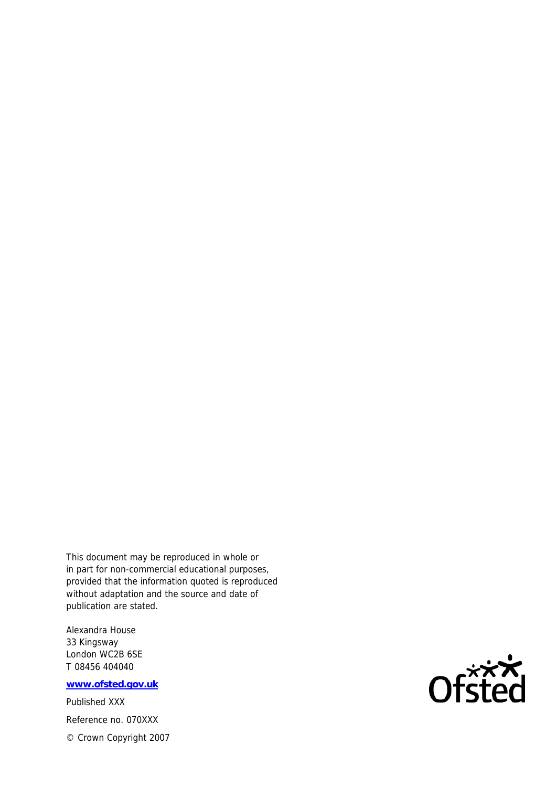This document may be reproduced in whole or in part for non-commercial educational purposes, provided that the information quoted is reproduced without adaptation and the source and date of publication are stated.

Alexandra House 33 Kingsway London WC2B 6SE T 08456 404040

**www.ofsted.gov.uk**

Published XXX Reference no. 070XXX © Crown Copyright 2007

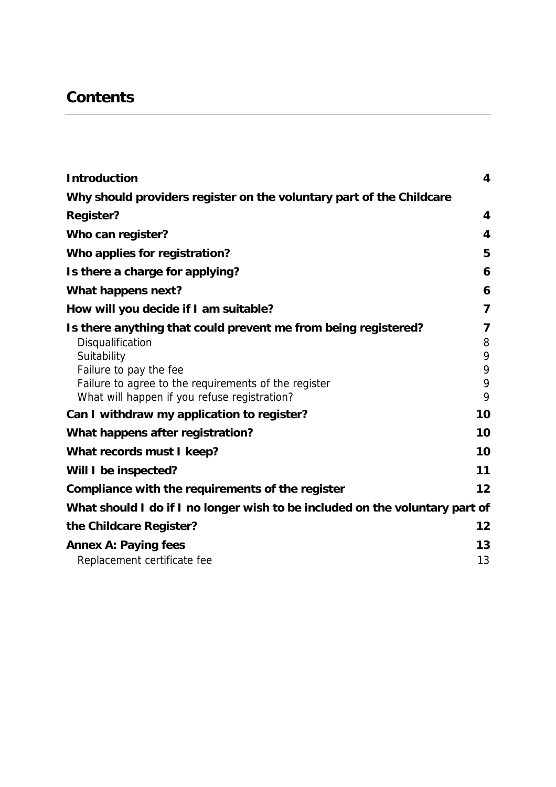# **Contents**

| <b>Introduction</b>                                                                                  | $\overline{\mathbf{4}}$ |
|------------------------------------------------------------------------------------------------------|-------------------------|
| Why should providers register on the voluntary part of the Childcare                                 |                         |
| <b>Register?</b>                                                                                     | 4                       |
| Who can register?                                                                                    | 4                       |
| Who applies for registration?                                                                        | 5                       |
| Is there a charge for applying?                                                                      | 6                       |
| What happens next?                                                                                   | 6                       |
| How will you decide if I am suitable?                                                                | $\overline{7}$          |
| Is there anything that could prevent me from being registered?                                       | 7                       |
| Disqualification                                                                                     | 8                       |
| Suitability                                                                                          | 9                       |
| Failure to pay the fee                                                                               | 9                       |
| Failure to agree to the requirements of the register<br>What will happen if you refuse registration? | 9<br>9                  |
| Can I withdraw my application to register?                                                           | 10                      |
| What happens after registration?                                                                     | 10                      |
| What records must I keep?                                                                            | 10                      |
| Will I be inspected?                                                                                 | 11                      |
| Compliance with the requirements of the register                                                     | 12                      |
| What should I do if I no longer wish to be included on the voluntary part of                         |                         |
| the Childcare Register?                                                                              | 12                      |
| <b>Annex A: Paying fees</b>                                                                          | 13                      |
| Replacement certificate fee                                                                          | 13                      |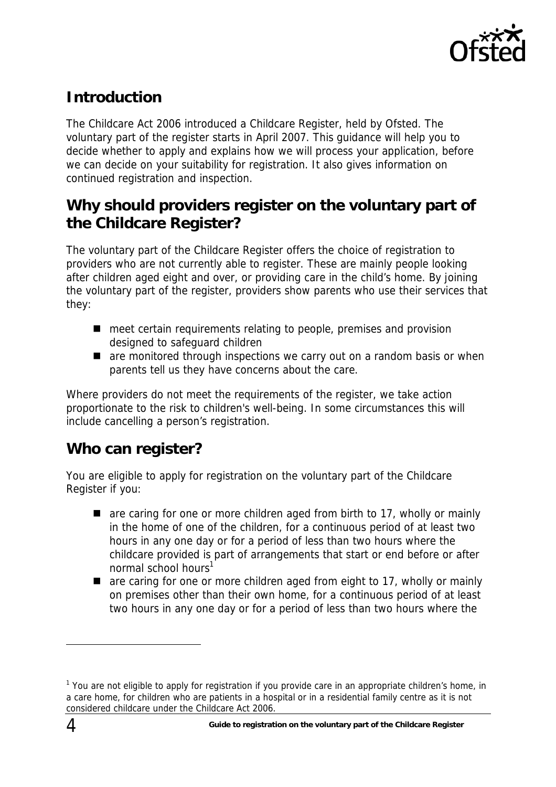

# <span id="page-3-0"></span>**Introduction**

The Childcare Act 2006 introduced a Childcare Register, held by Ofsted. The voluntary part of the register starts in April 2007. This guidance will help you to decide whether to apply and explains how we will process your application, before we can decide on your suitability for registration. It also gives information on continued registration and inspection.

# **Why should providers register on the voluntary part of the Childcare Register?**

The voluntary part of the Childcare Register offers the choice of registration to providers who are not currently able to register. These are mainly people looking after children aged eight and over, or providing care in the child's home. By joining the voluntary part of the register, providers show parents who use their services that they:

- meet certain requirements relating to people, premises and provision designed to safeguard children
- are monitored through inspections we carry out on a random basis or when parents tell us they have concerns about the care.

Where providers do not meet the requirements of the register, we take action proportionate to the risk to children's well-being. In some circumstances this will include cancelling a person's registration.

### **Who can register?**

You are eligible to apply for registration on the voluntary part of the Childcare Register if you:

- are caring for one or more children aged from birth to 17, wholly or mainly in the home of one of the children, for a continuous period of at least two hours in any one day or for a period of less than two hours where the childcare provided is part of arrangements that start or end before or after normal school hours<sup>[1](#page-3-1)</sup>
- are caring for one or more children aged from eight to 17, wholly or mainly on premises other than their own home, for a continuous period of at least two hours in any one day or for a period of less than two hours where the

<span id="page-3-1"></span><sup>&</sup>lt;sup>1</sup> You are not eligible to apply for registration if you provide care in an appropriate children's home, in a care home, for children who are patients in a hospital or in a residential family centre as it is not considered childcare under the Childcare Act 2006.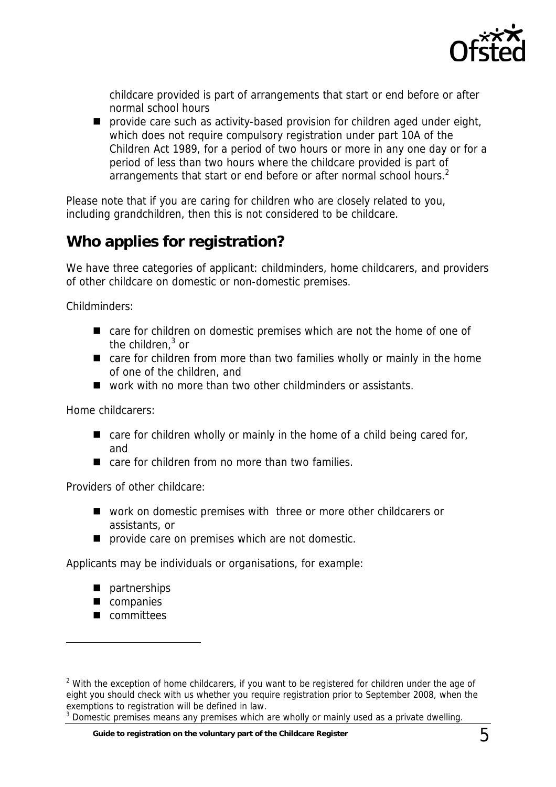

<span id="page-4-0"></span>childcare provided is part of arrangements that start or end before or after normal school hours

**P** provide care such as activity-based provision for children aged under eight, which does not require compulsory registration under part 10A of the Children Act 1989, for a period of two hours or more in any one day or for a period of less than two hours where the childcare provided is part of arrangements that start or end before or after normal school hours.<sup>[2](#page-4-1)</sup>

Please note that if you are caring for children who are closely related to you, including grandchildren, then this is not considered to be childcare.

# **Who applies for registration?**

We have three categories of applicant: childminders, home childcarers, and providers of other childcare on domestic or non-domestic premises.

Childminders:

- care for children on domestic premises which are not the home of one of the children, $3$  or
- care for children from more than two families wholly or mainly in the home of one of the children, and
- work with no more than two other childminders or assistants.

Home childcarers:

- $\blacksquare$  care for children wholly or mainly in the home of a child being cared for, and
- care for children from no more than two families.

Providers of other childcare:

- work on domestic premises with three or more other childcarers or assistants, or
- **P** provide care on premises which are not domestic.

Applicants may be individuals or organisations, for example:

- **partnerships**
- companies
- committees

<span id="page-4-1"></span> $2$  With the exception of home childcarers, if you want to be registered for children under the age of eight you should check with us whether you require registration prior to September 2008, when the exemptions to registration will be defined in law.

<span id="page-4-2"></span> $3$  Domestic premises means any premises which are wholly or mainly used as a private dwelling.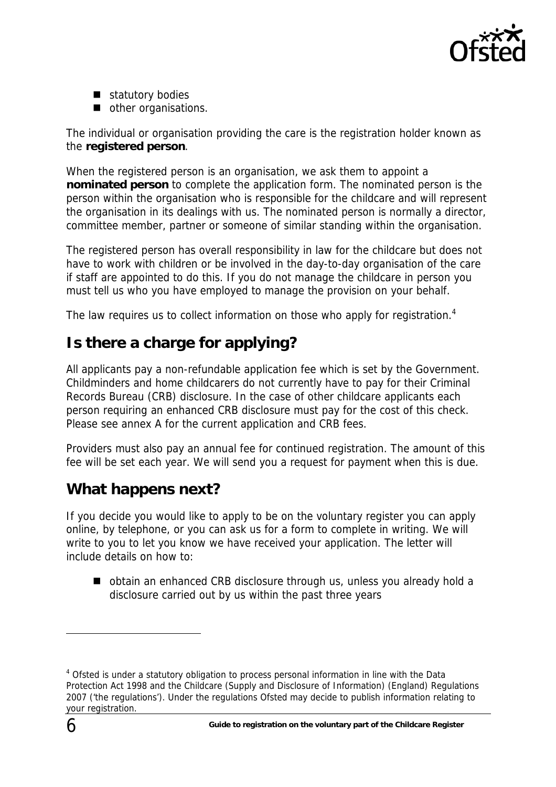

- <span id="page-5-0"></span>statutory bodies
- other organisations.

The individual or organisation providing the care is the registration holder known as the **registered person**.

When the registered person is an organisation, we ask them to appoint a **nominated person** to complete the application form. The nominated person is the person within the organisation who is responsible for the childcare and will represent the organisation in its dealings with us. The nominated person is normally a director, committee member, partner or someone of similar standing within the organisation.

The registered person has overall responsibility in law for the childcare but does not have to work with children or be involved in the day-to-day organisation of the care if staff are appointed to do this. If you do not manage the childcare in person you must tell us who you have employed to manage the provision on your behalf.

The law requires us to collect information on those who apply for registration.<sup>[4](#page-5-1)</sup>

# **Is there a charge for applying?**

All applicants pay a non-refundable application fee which is set by the Government. Childminders and home childcarers do not currently have to pay for their Criminal Records Bureau (CRB) disclosure. In the case of other childcare applicants each person requiring an enhanced CRB disclosure must pay for the cost of this check. Please see annex A for the current application and CRB fees.

Providers must also pay an annual fee for continued registration. The amount of this fee will be set each year. We will send you a request for payment when this is due.

# **What happens next?**

If you decide you would like to apply to be on the voluntary register you can apply online, by telephone, or you can ask us for a form to complete in writing. We will write to you to let you know we have received your application. The letter will include details on how to:

■ obtain an enhanced CRB disclosure through us, unless you already hold a disclosure carried out by us within the past three years

<span id="page-5-1"></span><sup>&</sup>lt;sup>4</sup> Ofsted is under a statutory obligation to process personal information in line with the Data Protection Act 1998 and the Childcare (Supply and Disclosure of Information) (England) Regulations 2007 ('the regulations'). Under the regulations Ofsted may decide to publish information relating to your registration.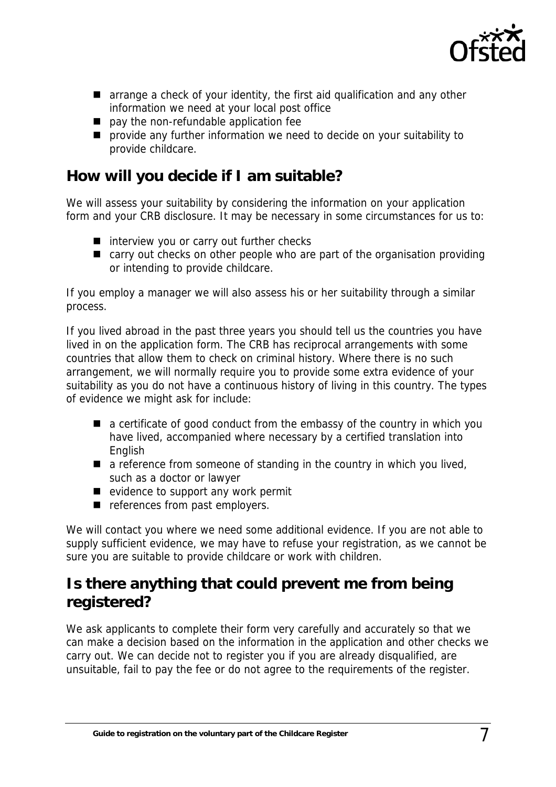

- <span id="page-6-0"></span>**E** arrange a check of your identity, the first aid qualification and any other information we need at your local post office
- **pay the non-refundable application fee**
- **P** provide any further information we need to decide on your suitability to provide childcare.

### **How will you decide if I am suitable?**

We will assess your suitability by considering the information on your application form and your CRB disclosure. It may be necessary in some circumstances for us to:

- $\blacksquare$  interview you or carry out further checks
- carry out checks on other people who are part of the organisation providing or intending to provide childcare.

If you employ a manager we will also assess his or her suitability through a similar process.

If you lived abroad in the past three years you should tell us the countries you have lived in on the application form. The CRB has reciprocal arrangements with some countries that allow them to check on criminal history. Where there is no such arrangement, we will normally require you to provide some extra evidence of your suitability as you do not have a continuous history of living in this country. The types of evidence we might ask for include:

- a certificate of good conduct from the embassy of the country in which you have lived, accompanied where necessary by a certified translation into English
- $\blacksquare$  a reference from someone of standing in the country in which you lived, such as a doctor or lawyer
- $\blacksquare$  evidence to support any work permit
- references from past employers.

We will contact you where we need some additional evidence. If you are not able to supply sufficient evidence, we may have to refuse your registration, as we cannot be sure you are suitable to provide childcare or work with children.

### **Is there anything that could prevent me from being registered?**

We ask applicants to complete their form very carefully and accurately so that we can make a decision based on the information in the application and other checks we carry out. We can decide not to register you if you are already disqualified, are unsuitable, fail to pay the fee or do not agree to the requirements of the register.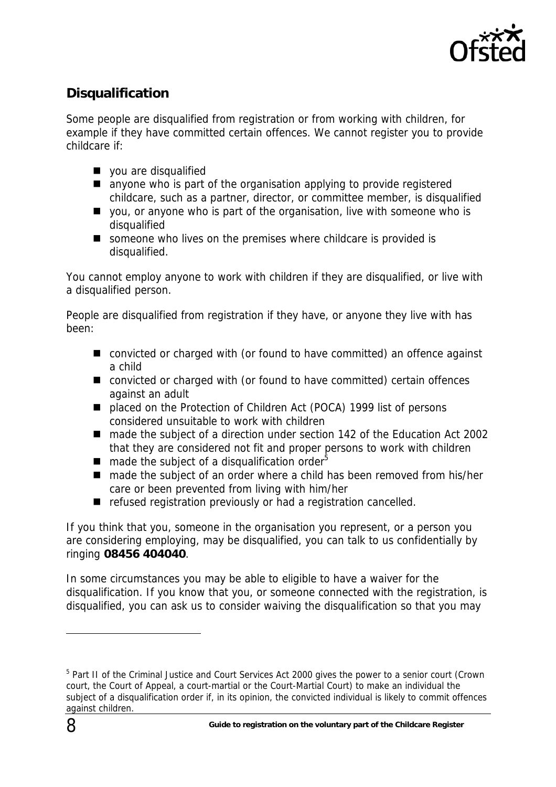

### <span id="page-7-0"></span>**Disqualification**

Some people are disqualified from registration or from working with children, for example if they have committed certain offences. We cannot register you to provide childcare if:

- vou are disqualified
- anyone who is part of the organisation applying to provide registered childcare, such as a partner, director, or committee member, is disqualified
- $\blacksquare$  vou, or anyone who is part of the organisation, live with someone who is disqualified
- someone who lives on the premises where childcare is provided is disqualified.

You cannot employ anyone to work with children if they are disqualified, or live with a disqualified person.

People are disqualified from registration if they have, or anyone they live with has been:

- convicted or charged with (or found to have committed) an offence against a child
- convicted or charged with (or found to have committed) certain offences against an adult
- placed on the Protection of Children Act (POCA) 1999 list of persons considered unsuitable to work with children
- made the subject of a direction under section 142 of the Education Act 2002 that they are considered not fit and proper persons to work with children
- **n** made the subject of a disqualification order<sup>5</sup>
- made the subject of an order where a child has been removed from his/her care or been prevented from living with him/her
- refused registration previously or had a registration cancelled.

If you think that you, someone in the organisation you represent, or a person you are considering employing, may be disqualified, you can talk to us confidentially by ringing **08456 404040**.

In some circumstances you may be able to eligible to have a waiver for the disqualification. If you know that you, or someone connected with the registration, is disqualified, you can ask us to consider waiving the disqualification so that you may

<span id="page-7-1"></span><sup>&</sup>lt;sup>5</sup> Part II of the Criminal Justice and Court Services Act 2000 gives the power to a senior court (Crown court, the Court of Appeal, a court-martial or the Court-Martial Court) to make an individual the subject of a disqualification order if, in its opinion, the convicted individual is likely to commit offences against children.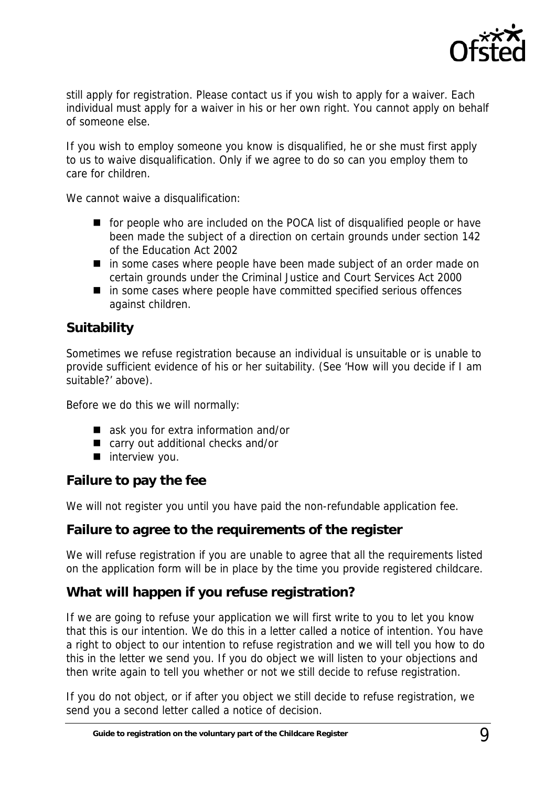

<span id="page-8-0"></span>still apply for registration. Please contact us if you wish to apply for a waiver. Each individual must apply for a waiver in his or her own right. You cannot apply on behalf of someone else.

If you wish to employ someone you know is disqualified, he or she must first apply to us to waive disqualification. Only if we agree to do so can you employ them to care for children.

We cannot waive a disqualification:

- for people who are included on the POCA list of disqualified people or have been made the subject of a direction on certain grounds under section 142 of the Education Act 2002
- in some cases where people have been made subject of an order made on certain grounds under the Criminal Justice and Court Services Act 2000
- $\blacksquare$  in some cases where people have committed specified serious offences against children.

#### **Suitability**

Sometimes we refuse registration because an individual is unsuitable or is unable to provide sufficient evidence of his or her suitability. (See 'How will you decide if I am suitable?' above).

Before we do this we will normally:

- ask you for extra information and/or
- carry out additional checks and/or
- $\blacksquare$  interview you.

#### **Failure to pay the fee**

We will not register you until you have paid the non-refundable application fee.

#### **Failure to agree to the requirements of the register**

We will refuse registration if you are unable to agree that all the requirements listed on the application form will be in place by the time you provide registered childcare.

#### **What will happen if you refuse registration?**

If we are going to refuse your application we will first write to you to let you know that this is our intention. We do this in a letter called a notice of intention. You have a right to object to our intention to refuse registration and we will tell you how to do this in the letter we send you. If you do object we will listen to your objections and then write again to tell you whether or not we still decide to refuse registration.

If you do not object, or if after you object we still decide to refuse registration, we send you a second letter called a notice of decision.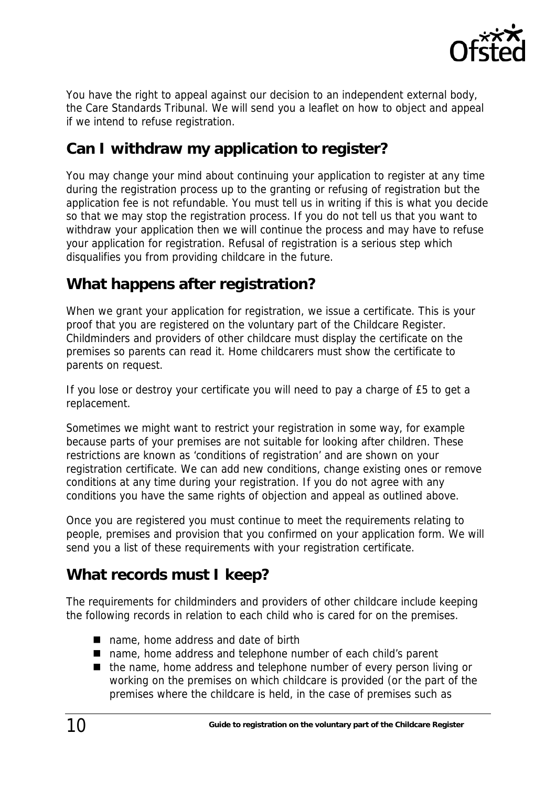

<span id="page-9-0"></span>You have the right to appeal against our decision to an independent external body, the Care Standards Tribunal. We will send you a leaflet on how to object and appeal if we intend to refuse registration.

### **Can I withdraw my application to register?**

You may change your mind about continuing your application to register at any time during the registration process up to the granting or refusing of registration but the application fee is not refundable. You must tell us in writing if this is what you decide so that we may stop the registration process. If you do not tell us that you want to withdraw your application then we will continue the process and may have to refuse your application for registration. Refusal of registration is a serious step which disqualifies you from providing childcare in the future.

# **What happens after registration?**

When we grant your application for registration, we issue a certificate. This is your proof that you are registered on the voluntary part of the Childcare Register. Childminders and providers of other childcare must display the certificate on the premises so parents can read it. Home childcarers must show the certificate to parents on request.

If you lose or destroy your certificate you will need to pay a charge of £5 to get a replacement.

Sometimes we might want to restrict your registration in some way, for example because parts of your premises are not suitable for looking after children. These restrictions are known as 'conditions of registration' and are shown on your registration certificate. We can add new conditions, change existing ones or remove conditions at any time during your registration. If you do not agree with any conditions you have the same rights of objection and appeal as outlined above.

Once you are registered you must continue to meet the requirements relating to people, premises and provision that you confirmed on your application form. We will send you a list of these requirements with your registration certificate.

# **What records must I keep?**

The requirements for childminders and providers of other childcare include keeping the following records in relation to each child who is cared for on the premises.

- name, home address and date of birth
- name, home address and telephone number of each child's parent
- the name, home address and telephone number of every person living or working on the premises on which childcare is provided (or the part of the premises where the childcare is held, in the case of premises such as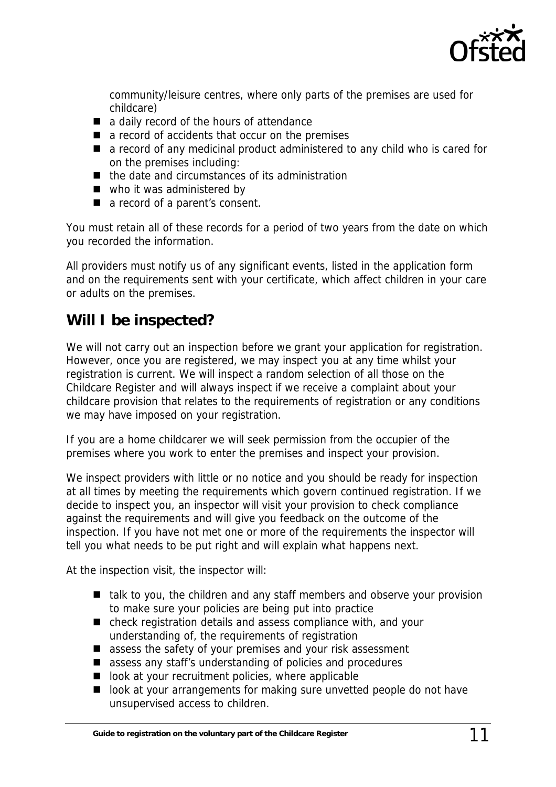

<span id="page-10-0"></span>community/leisure centres, where only parts of the premises are used for childcare)

- a daily record of the hours of attendance
- a record of accidents that occur on the premises
- a record of any medicinal product administered to any child who is cared for on the premises including:
- $\blacksquare$  the date and circumstances of its administration
- who it was administered by
- a record of a parent's consent.

You must retain all of these records for a period of two years from the date on which you recorded the information.

All providers must notify us of any significant events, listed in the application form and on the requirements sent with your certificate, which affect children in your care or adults on the premises.

### **Will I be inspected?**

We will not carry out an inspection before we grant your application for registration. However, once you are registered, we may inspect you at any time whilst your registration is current. We will inspect a random selection of all those on the Childcare Register and will always inspect if we receive a complaint about your childcare provision that relates to the requirements of registration or any conditions we may have imposed on your registration.

If you are a home childcarer we will seek permission from the occupier of the premises where you work to enter the premises and inspect your provision.

We inspect providers with little or no notice and you should be ready for inspection at all times by meeting the requirements which govern continued registration. If we decide to inspect you, an inspector will visit your provision to check compliance against the requirements and will give you feedback on the outcome of the inspection. If you have not met one or more of the requirements the inspector will tell you what needs to be put right and will explain what happens next.

At the inspection visit, the inspector will:

- $\blacksquare$  talk to you, the children and any staff members and observe your provision to make sure your policies are being put into practice
- check registration details and assess compliance with, and your understanding of, the requirements of registration
- assess the safety of your premises and your risk assessment
- assess any staff's understanding of policies and procedures
- $\blacksquare$  look at your recruitment policies, where applicable
- look at your arrangements for making sure unvetted people do not have unsupervised access to children.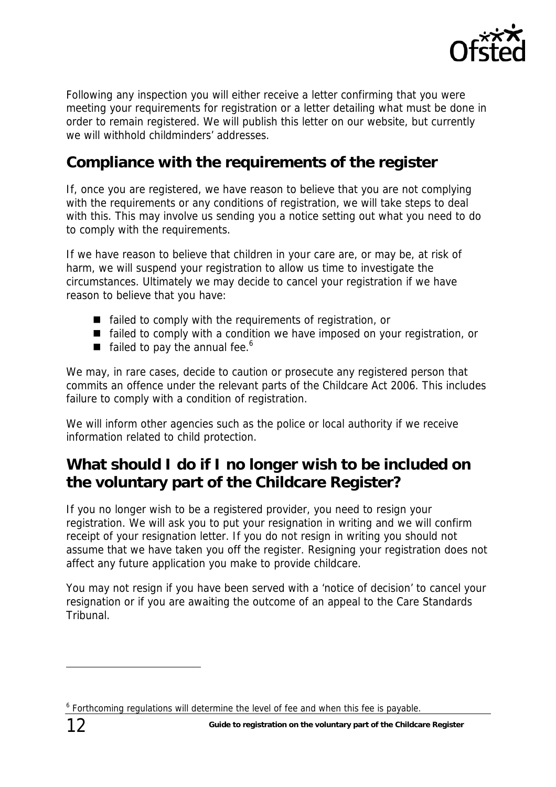

<span id="page-11-0"></span>Following any inspection you will either receive a letter confirming that you were meeting your requirements for registration or a letter detailing what must be done in order to remain registered. We will publish this letter on our website, but currently we will withhold childminders' addresses.

### **Compliance with the requirements of the register**

If, once you are registered, we have reason to believe that you are not complying with the requirements or any conditions of registration, we will take steps to deal with this. This may involve us sending you a notice setting out what you need to do to comply with the requirements.

If we have reason to believe that children in your care are, or may be, at risk of harm, we will suspend your registration to allow us time to investigate the circumstances. Ultimately we may decide to cancel your registration if we have reason to believe that you have:

- $\blacksquare$  failed to comply with the requirements of registration, or
- $\blacksquare$  failed to comply with a condition we have imposed on your registration, or
- failed to pay the annual fee.<sup>[6](#page-11-1)</sup>

We may, in rare cases, decide to caution or prosecute any registered person that commits an offence under the relevant parts of the Childcare Act 2006. This includes failure to comply with a condition of registration.

We will inform other agencies such as the police or local authority if we receive information related to child protection.

# **What should I do if I no longer wish to be included on the voluntary part of the Childcare Register?**

If you no longer wish to be a registered provider, you need to resign your registration. We will ask you to put your resignation in writing and we will confirm receipt of your resignation letter. If you do not resign in writing you should not assume that we have taken you off the register. Resigning your registration does not affect any future application you make to provide childcare.

You may not resign if you have been served with a 'notice of decision' to cancel your resignation or if you are awaiting the outcome of an appeal to the Care Standards Tribunal.

 $\overline{a}$ 

<span id="page-11-1"></span><sup>&</sup>lt;sup>6</sup> Forthcoming regulations will determine the level of fee and when this fee is payable.